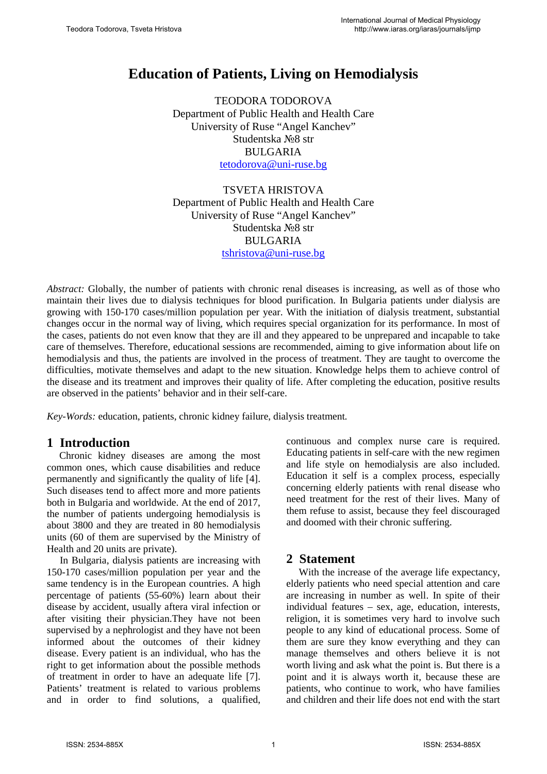# **Education of Patients, Living on Hemodialysis**

TEODORA TODOROVA Department of Public Health and Health Care University of Ruse "Angel Kanchev" Studentska №8 str BULGARIA [tetodorova@uni-ruse.bg](mailto:tetodorova@uni-ruse.bg)

TSVETA HRISTOVA Department of Public Health and Health Care University of Ruse "Angel Kanchev" Studentska №8 str BULGARIA [tshristova@uni-ruse.bg](mailto:tshristova@uni-ruse.bg) 

*Abstract:* Globally, the number of patients with chronic renal diseases is increasing, as well as of those who maintain their lives due to dialysis techniques for blood purification. In Bulgaria patients under dialysis are growing with 150-170 cases/million population per year. With the initiation of dialysis treatment, substantial changes occur in the normal way of living, which requires special organization for its performance. In most of the cases, patients do not even know that they are ill and they appeared to be unprepared and incapable to take care of themselves. Therefore, educational sessions are recommended, aiming to give information about life on hemodialysis and thus, the patients are involved in the process of treatment. They are taught to overcome the difficulties, motivate themselves and adapt to the new situation. Knowledge helps them to achieve control of the disease and its treatment and improves their quality of life. After completing the education, positive results are observed in the patients' behavior and in their self-care.

*Key-Words:* education, patients, chronic kidney failure, dialysis treatment*.*

# **1 Introduction**

Chronic kidney diseases are among the most common ones, which cause disabilities and reduce permanently and significantly the quality of life [4]. Such diseases tend to affect more and more patients both in Bulgaria and worldwide. At the end of 2017, the number of patients undergoing hemodialysis is about 3800 and they are treated in 80 hemodialysis units (60 of them are supervised by the Ministry of Health and 20 units are private).

In Bulgaria, dialysis patients are increasing with 150-170 cases/million population per year and the same tendency is in the European countries. A high percentage of patients (55-60%) learn about their disease by accident, usually aftera viral infection or after visiting their physician.They have not been supervised by a nephrologist and they have not been informed about the outcomes of their kidney disease. Every patient is an individual, who has the right to get information about the possible methods of treatment in order to have an adequate life [7]. Patients' treatment is related to various problems and in order to find solutions, a qualified, continuous and complex nurse care is required. Educating patients in self-care with the new regimen and life style on hemodialysis are also included. Education it self is a complex process, especially concerning elderly patients with renal disease who need treatment for the rest of their lives. Many of them refuse to assist, because they feel discouraged and doomed with their chronic suffering.

# **2 Statement**

With the increase of the average life expectancy, elderly patients who need special attention and care are increasing in number as well. In spite of their individual features – sex, age, education, interests, religion, it is sometimes very hard to involve such people to any kind of educational process. Some of them are sure they know everything and they can manage themselves and others believe it is not worth living and ask what the point is. But there is a point and it is always worth it, because these are patients, who continue to work, who have families and children and their life does not end with the start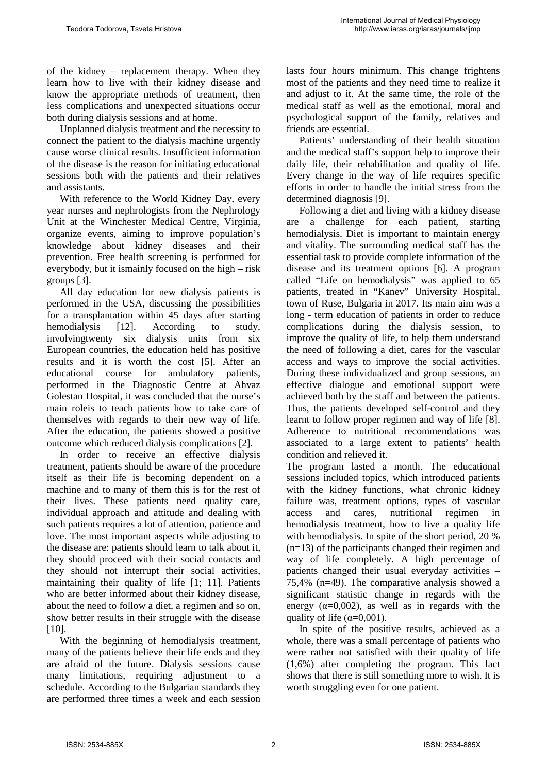of the kidney – replacement therapy. When they learn how to live with their kidney disease and know the appropriate methods of treatment, then less complications and unexpected situations occur both during dialysis sessions and at home.

Unplanned dialysis treatment and the necessity to connect the patient to the dialysis machine urgently cause worse clinical results. Insufficient information of the disease is the reason for initiating educational sessions both with the patients and their relatives and assistants.

With reference to the World Kidney Day, every year nurses and nephrologists from the Nephrology Unit at the Winchester Medical Centre, Virginia, organize events, aiming to improve population's knowledge about kidney diseases and their prevention. Free health screening is performed for everybody, but it ismainly focused on the high – risk groups [3].

All day education for new dialysis patients is performed in the USA, discussing the possibilities for a transplantation within 45 days after starting hemodialysis [12]. According to study, involvingtwenty six dialysis units from six European countries, the education held has positive results and it is worth the cost [5]. After an educational course for ambulatory patients, performed in the Diagnostic Centre at Ahvaz Golestan Hospital, it was concluded that the nurse's main roleis to teach patients how to take care of themselves with regards to their new way of life. After the education, the patients showed a positive outcome which reduced dialysis complications [2].

In order to receive an effective dialysis treatment, patients should be aware of the procedure itself as their life is becoming dependent on a machine and to many of them this is for the rest of their lives. These patients need quality care, individual approach and attitude and dealing with such patients requires a lot of attention, patience and love. The most important aspects while adjusting to the disease are: patients should learn to talk about it, they should proceed with their social contacts and they should not interrupt their social activities, maintaining their quality of life [1; 11]. Patients who are better informed about their kidney disease, about the need to follow a diet, a regimen and so on, show better results in their struggle with the disease [10].

With the beginning of hemodialysis treatment, many of the patients believe their life ends and they are afraid of the future. Dialysis sessions cause many limitations, requiring adjustment to a schedule. According to the Bulgarian standards they are performed three times a week and each session lasts four hours minimum. This change frightens most of the patients and they need time to realize it and adjust to it. At the same time, the role of the medical staff as well as the emotional, moral and psychological support of the family, relatives and friends are essential.

Patients' understanding of their health situation and the medical staff's support help to improve their daily life, their rehabilitation and quality of life. Every change in the way of life requires specific efforts in order to handle the initial stress from the determined diagnosis [9].

Following a diet and living with a kidney disease are a challenge for each patient, starting hemodialysis. Diet is important to maintain energy and vitality. The surrounding medical staff has the essential task to provide complete information of the disease and its treatment options [6]. A program called "Life on hemodialysis" was applied to 65 patients, treated in "Kanev" University Hospital, town of Ruse, Bulgaria in 2017. Its main aim was a long - term education of patients in order to reduce complications during the dialysis session, to improve the quality of life, to help them understand the need of following a diet, cares for the vascular access and ways to improve the social activities. During these individualized and group sessions, an effective dialogue and emotional support were achieved both by the staff and between the patients. Thus, the patients developed self-control and they learnt to follow proper regimen and way of life [8]. Adherence to nutritional recommendations was associated to a large extent to patients' health condition and relieved it.

The program lasted a month. The educational sessions included topics, which introduced patients with the kidney functions, what chronic kidney failure was, treatment options, types of vascular access and cares, nutritional regimen in hemodialysis treatment, how to live a quality life with hemodialysis. In spite of the short period, 20 % (n=13) of the participants changed their regimen and way of life completely. A high percentage of patients changed their usual everyday activities – 75,4% (n=49). The comparative analysis showed a significant statistic change in regards with the energy ( $\alpha$ =0,002), as well as in regards with the quality of life ( $\alpha$ =0,001).

In spite of the positive results, achieved as a whole, there was a small percentage of patients who were rather not satisfied with their quality of life (1,6%) after completing the program. This fact shows that there is still something more to wish. It is worth struggling even for one patient.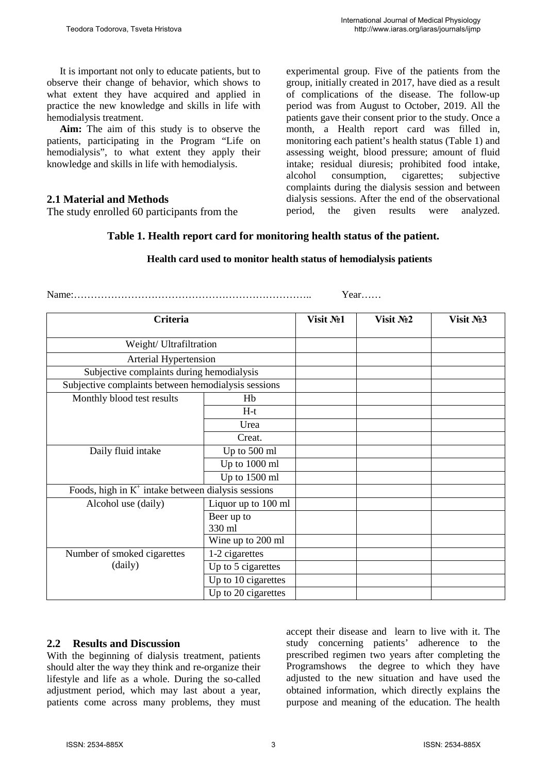It is important not only to educate patients, but to observe their change of behavior, which shows to what extent they have acquired and applied in practice the new knowledge and skills in life with hemodialysis treatment.

**Aim:** The aim of this study is to observe the patients, participating in the Program "Life on hemodialysis", to what extent they apply their knowledge and skills in life with hemodialysis.

## **2.1 Material and Methods**

The study enrolled 60 participants from the

experimental group. Five of the patients from the group, initially created in 2017, have died as a result of complications of the disease. The follow-up period was from August to October, 2019. All the patients gave their consent prior to the study. Once a month, a Health report card was filled in, monitoring each patient's health status (Table 1) and assessing weight, blood pressure; amount of fluid intake; residual diuresis; prohibited food intake, alcohol consumption, cigarettes; complaints during the dialysis session and between dialysis sessions. After the end of the observational period, the given results were analyzed.

## **Table 1. Health report card for monitoring health status of the patient.**

| Criteria                                              |                      | Visit No1 | Visit No <sub>2</sub> | Visit No <sub>2</sub> |
|-------------------------------------------------------|----------------------|-----------|-----------------------|-----------------------|
| Weight/ Ultrafiltration                               |                      |           |                       |                       |
| Arterial Hypertension                                 |                      |           |                       |                       |
| Subjective complaints during hemodialysis             |                      |           |                       |                       |
| Subjective complaints between hemodialysis sessions   |                      |           |                       |                       |
| Monthly blood test results                            | Hb                   |           |                       |                       |
|                                                       | $H-t$                |           |                       |                       |
|                                                       | Urea                 |           |                       |                       |
|                                                       | Creat.               |           |                       |                       |
| Daily fluid intake                                    | Up to 500 ml         |           |                       |                       |
|                                                       | Up to 1000 ml        |           |                       |                       |
|                                                       | Up to 1500 ml        |           |                       |                       |
| Foods, high in $K^+$ intake between dialysis sessions |                      |           |                       |                       |
| Alcohol use (daily)                                   | Liquor up to 100 ml  |           |                       |                       |
|                                                       | Beer up to<br>330 ml |           |                       |                       |
|                                                       | Wine up to 200 ml    |           |                       |                       |
| Number of smoked cigarettes<br>(daily)                | 1-2 cigarettes       |           |                       |                       |
|                                                       | Up to 5 cigarettes   |           |                       |                       |
|                                                       | Up to 10 cigarettes  |           |                       |                       |
|                                                       | Up to 20 cigarettes  |           |                       |                       |

#### **Health card used to monitor health status of hemodialysis patients**

Name:…………………………………………………………….. Year……

#### **2.2 Results and Discussion**

With the beginning of dialysis treatment, patients should alter the way they think and re-organize their lifestyle and life as a whole. During the so-called adjustment period, which may last about a year, patients come across many problems, they must accept their disease and learn to live with it. The study concerning patients' adherence to the prescribed regimen two years after completing the Programshows the degree to which they have adjusted to the new situation and have used the obtained information, which directly explains the purpose and meaning of the education. The health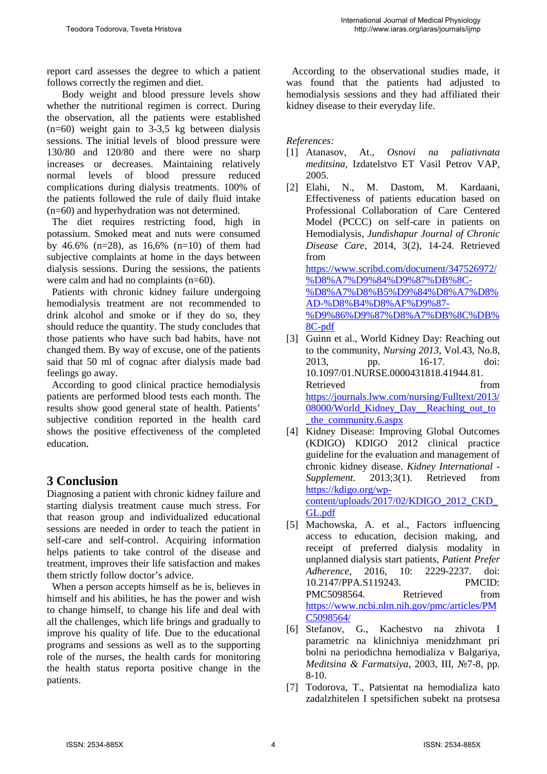report card assesses the degree to which a patient follows correctly the regimen and diet.

 Body weight and blood pressure levels show whether the nutritional regimen is correct. During the observation, all the patients were established  $(n=60)$  weight gain to 3-3,5 kg between dialysis sessions. The initial levels of blood pressure were 130/80 and 120/80 and there were no sharp increases or decreases. Maintaining relatively normal levels of blood pressure reduced complications during dialysis treatments. 100% of the patients followed the rule of daily fluid intake (n=60) and hyperhydration was not determined.

 The diet requires restricting food, high in potassium. Smoked meat and nuts were consumed by 46.6%  $(n=28)$ , as 16.6%  $(n=10)$  of them had subjective complaints at home in the days between dialysis sessions. During the sessions, the patients were calm and had no complaints (n=60).

 Patients with chronic kidney failure undergoing hemodialysis treatment are not recommended to drink alcohol and smoke or if they do so, they should reduce the quantity. The study concludes that those patients who have such bad habits, have not changed them. By way of excuse, one of the patients said that 50 ml of cognac after dialysis made bad feelings go away.

 According to good clinical practice hemodialysis patients are performed blood tests each month. The results show good general state of health. Patients' subjective condition reported in the health card shows the positive effectiveness of the completed education.

# **3 Conclusion**

Diagnosing a patient with chronic kidney failure and starting dialysis treatment cause much stress. For that reason group and individualized educational sessions are needed in order to teach the patient in self-care and self-control. Acquiring information helps patients to take control of the disease and treatment, improves their life satisfaction and makes them strictly follow doctor's advice.

 When a person accepts himself as he is, believes in himself and his abilities, he has the power and wish to change himself, to change his life and deal with all the challenges, which life brings and gradually to improve his quality of life. Due to the educational programs and sessions as well as to the supporting role of the nurses, the health cards for monitoring the health status reporta positive change in the patients.

 According to the observational studies made, it was found that the patients had adjusted to hemodialysis sessions and they had affiliated their kidney disease to their everyday life.

#### *References:*

- [1] Atanasov, At., *Osnovi na paliativnata meditsina,* Izdatelstvo ET Vasil Petrov VAP, 2005.
- [2] Elahi, N., M. Dastom, M. Kardaani, Effectiveness of patients education based on Professional Collaboration of Care Centered Model (PCCC) on self-care in patients on Hemodialysis, *Jundishapur Journal of Chronic Disease Care,* 2014, 3(2), 14-24. Retrieved from [https://www.scribd.com/document/347526972/](https://www.scribd.com/document/347526972/%D8%A7%D9%84%D9%87%DB%8C-%D8%A7%D8%B5%D9%84%D8%A7%D8%AD-%D8%B4%D8%AF%D9%87-%D9%86%D9%87%D8%A7%DB%8C%DB%8C-pdf) [%D8%A7%D9%84%D9%87%DB%8C-](https://www.scribd.com/document/347526972/%D8%A7%D9%84%D9%87%DB%8C-%D8%A7%D8%B5%D9%84%D8%A7%D8%AD-%D8%B4%D8%AF%D9%87-%D9%86%D9%87%D8%A7%DB%8C%DB%8C-pdf) [%D8%A7%D8%B5%D9%84%D8%A7%D8%](https://www.scribd.com/document/347526972/%D8%A7%D9%84%D9%87%DB%8C-%D8%A7%D8%B5%D9%84%D8%A7%D8%AD-%D8%B4%D8%AF%D9%87-%D9%86%D9%87%D8%A7%DB%8C%DB%8C-pdf) [AD-%D8%B4%D8%AF%D9%87-](https://www.scribd.com/document/347526972/%D8%A7%D9%84%D9%87%DB%8C-%D8%A7%D8%B5%D9%84%D8%A7%D8%AD-%D8%B4%D8%AF%D9%87-%D9%86%D9%87%D8%A7%DB%8C%DB%8C-pdf) [%D9%86%D9%87%D8%A7%DB%8C%DB%](https://www.scribd.com/document/347526972/%D8%A7%D9%84%D9%87%DB%8C-%D8%A7%D8%B5%D9%84%D8%A7%D8%AD-%D8%B4%D8%AF%D9%87-%D9%86%D9%87%D8%A7%DB%8C%DB%8C-pdf) [8C-pdf](https://www.scribd.com/document/347526972/%D8%A7%D9%84%D9%87%DB%8C-%D8%A7%D8%B5%D9%84%D8%A7%D8%AD-%D8%B4%D8%AF%D9%87-%D9%86%D9%87%D8%A7%DB%8C%DB%8C-pdf)
- [3] Guinn et al., World Kidney Day: Reaching out to the community, *Nursing 2013*, Vol.43, No.8, 2013, pp. 16-17. doi: 10.1097/01.NURSE.0000431818.41944.81. Retrieved from the set of  $\sim$ [https://journals.lww.com/nursing/Fulltext/2013/](https://journals.lww.com/nursing/Fulltext/2013/08000/World_Kidney_Day__Reaching_out_to_the_community.6.aspx) [08000/World\\_Kidney\\_Day\\_\\_Reaching\\_out\\_to](https://journals.lww.com/nursing/Fulltext/2013/08000/World_Kidney_Day__Reaching_out_to_the_community.6.aspx) [\\_the\\_community.6.aspx](https://journals.lww.com/nursing/Fulltext/2013/08000/World_Kidney_Day__Reaching_out_to_the_community.6.aspx)
- [4] Kidney Disease: Improving Global Outcomes (KDIGO) KDIGO 2012 clinical practice guideline for the evaluation and management of chronic kidney disease. *Kidney International - Supplement.* 2013;3(1). Retrieved from [https://kdigo.org/wp](https://kdigo.org/wp-content/uploads/2017/02/KDIGO_2012_CKD_GL.pdf)[content/uploads/2017/02/KDIGO\\_2012\\_CKD\\_](https://kdigo.org/wp-content/uploads/2017/02/KDIGO_2012_CKD_GL.pdf) [GL.pdf](https://kdigo.org/wp-content/uploads/2017/02/KDIGO_2012_CKD_GL.pdf)
- [5] Machowska, A. et al., Factors influencing access to education, decision making, and receipt of preferred dialysis modality in unplanned dialysis start patients, *Patient Prefer Adherence*, 2016, 10: 2229-2237. doi: 10.2147/PPA.S119243. PMCID: PMC5098564. Retrieved from [https://www.ncbi.nlm.nih.gov/pmc/articles/PM](https://www.ncbi.nlm.nih.gov/pmc/articles/PMC5098564/) [C5098564/](https://www.ncbi.nlm.nih.gov/pmc/articles/PMC5098564/)
- [6] Stefanov, G., Kachestvo na zhivota I parametric na klinichniya menidzhmant pri bolni na periodichna hemodializa v Balgariya, *Meditsina & Farmatsiya,* 2003, III, №7-8, pp. 8-10.
- [7] Todorova, T., Patsientat na hemodializa kato zadalzhitelen I spetsifichen subekt na protsesa